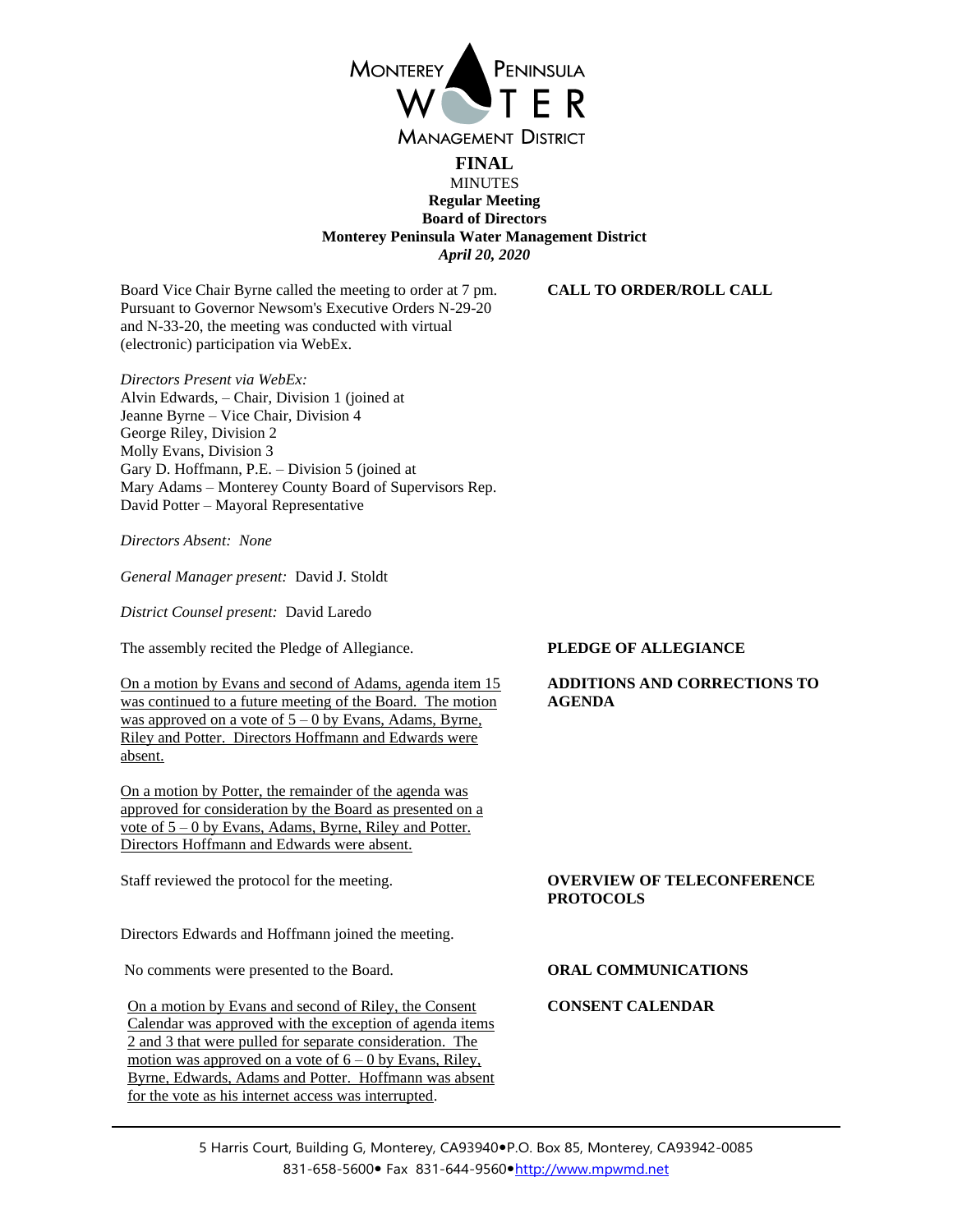

# **FINAL MINUTES Regular Meeting Board of Directors Monterey Peninsula Water Management District** *April 20, 2020*

Board Vice Chair Byrne called the meeting to order at 7 pm. Pursuant to Governor Newsom's Executive Orders N-29-20 and N-33-20, the meeting was conducted with virtual (electronic) participation via WebEx.

*Directors Present via WebEx:* Alvin Edwards, – Chair, Division 1 (joined at Jeanne Byrne – Vice Chair, Division 4 George Riley, Division 2 Molly Evans, Division 3 Gary D. Hoffmann, P.E. – Division 5 (joined at Mary Adams – Monterey County Board of Supervisors Rep. David Potter – Mayoral Representative

*Directors Absent: None*

*General Manager present:* David J. Stoldt

*District Counsel present:* David Laredo

The assembly recited the Pledge of Allegiance. **PLEDGE OF ALLEGIANCE**

On a motion by Evans and second of Adams, agenda item 15 was continued to a future meeting of the Board. The motion was approved on a vote of  $5 - 0$  by Evans, Adams, Byrne, Riley and Potter. Directors Hoffmann and Edwards were absent.

On a motion by Potter, the remainder of the agenda was approved for consideration by the Board as presented on a vote of 5 – 0 by Evans, Adams, Byrne, Riley and Potter. Directors Hoffmann and Edwards were absent.

Staff reviewed the protocol for the meeting. **OVERVIEW OF TELECONFERENCE** 

Directors Edwards and Hoffmann joined the meeting.

No comments were presented to the Board. **ORAL COMMUNICATIONS**

On a motion by Evans and second of Riley, the Consent Calendar was approved with the exception of agenda items 2 and 3 that were pulled for separate consideration. The motion was approved on a vote of  $6 - 0$  by Evans, Riley, Byrne, Edwards, Adams and Potter. Hoffmann was absent for the vote as his internet access was interrupted.

**CALL TO ORDER/ROLL CALL**

# **ADDITIONS AND CORRECTIONS TO AGENDA**

# **PROTOCOLS**

## **CONSENT CALENDAR**

5 Harris Court, Building G, Monterey, CA93940·P.O. Box 85, Monterey, CA93942-0085 831-658-5600 • Fax 831-644-9560 • [http://www.mpwmd.net](http://www.mpwmd.net/)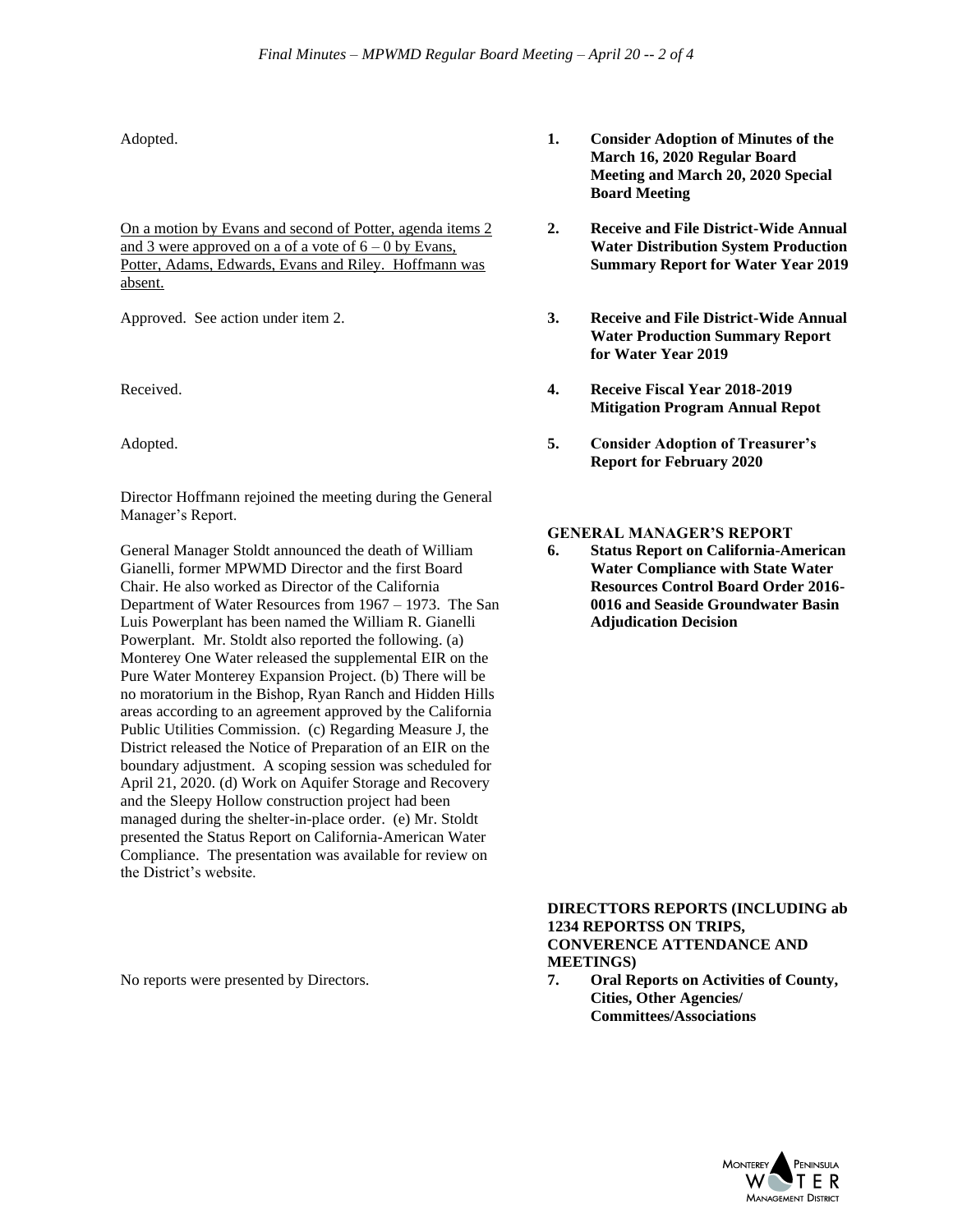On a motion by Evans and second of Potter, agenda items 2 and 3 were approved on a of a vote of  $6 - 0$  by Evans, Potter, Adams, Edwards, Evans and Riley. Hoffmann was absent.

Director Hoffmann rejoined the meeting during the General Manager's Report.

General Manager Stoldt announced the death of William Gianelli, former MPWMD Director and the first Board Chair. He also worked as Director of the California Department of Water Resources from 1967 – 1973. The San Luis Powerplant has been named the William R. Gianelli Powerplant. Mr. Stoldt also reported the following. (a) Monterey One Water released the supplemental EIR on the Pure Water Monterey Expansion Project. (b) There will be no moratorium in the Bishop, Ryan Ranch and Hidden Hills areas according to an agreement approved by the California Public Utilities Commission. (c) Regarding Measure J, the District released the Notice of Preparation of an EIR on the boundary adjustment. A scoping session was scheduled for April 21, 2020. (d) Work on Aquifer Storage and Recovery and the Sleepy Hollow construction project had been managed during the shelter-in-place order. (e) Mr. Stoldt presented the Status Report on California-American Water Compliance. The presentation was available for review on the District's website.

- Adopted. **1. Consider Adoption of Minutes of the March 16, 2020 Regular Board Meeting and March 20, 2020 Special Board Meeting**
	- **2. Receive and File District-Wide Annual Water Distribution System Production Summary Report for Water Year 2019**
- Approved. See action under item 2. **3. Receive and File District-Wide Annual Water Production Summary Report for Water Year 2019**
- Received. **4. Receive Fiscal Year 2018-2019 Mitigation Program Annual Repot**
- Adopted. **5. Consider Adoption of Treasurer's Report for February 2020**

### **GENERAL MANAGER'S REPORT**

**6. Status Report on California-American Water Compliance with State Water Resources Control Board Order 2016- 0016 and Seaside Groundwater Basin Adjudication Decision**

**DIRECTTORS REPORTS (INCLUDING ab 1234 REPORTSS ON TRIPS, CONVERENCE ATTENDANCE AND MEETINGS)**

No reports were presented by Directors. **7. Oral Reports on Activities of County, Cities, Other Agencies/ Committees/Associations**

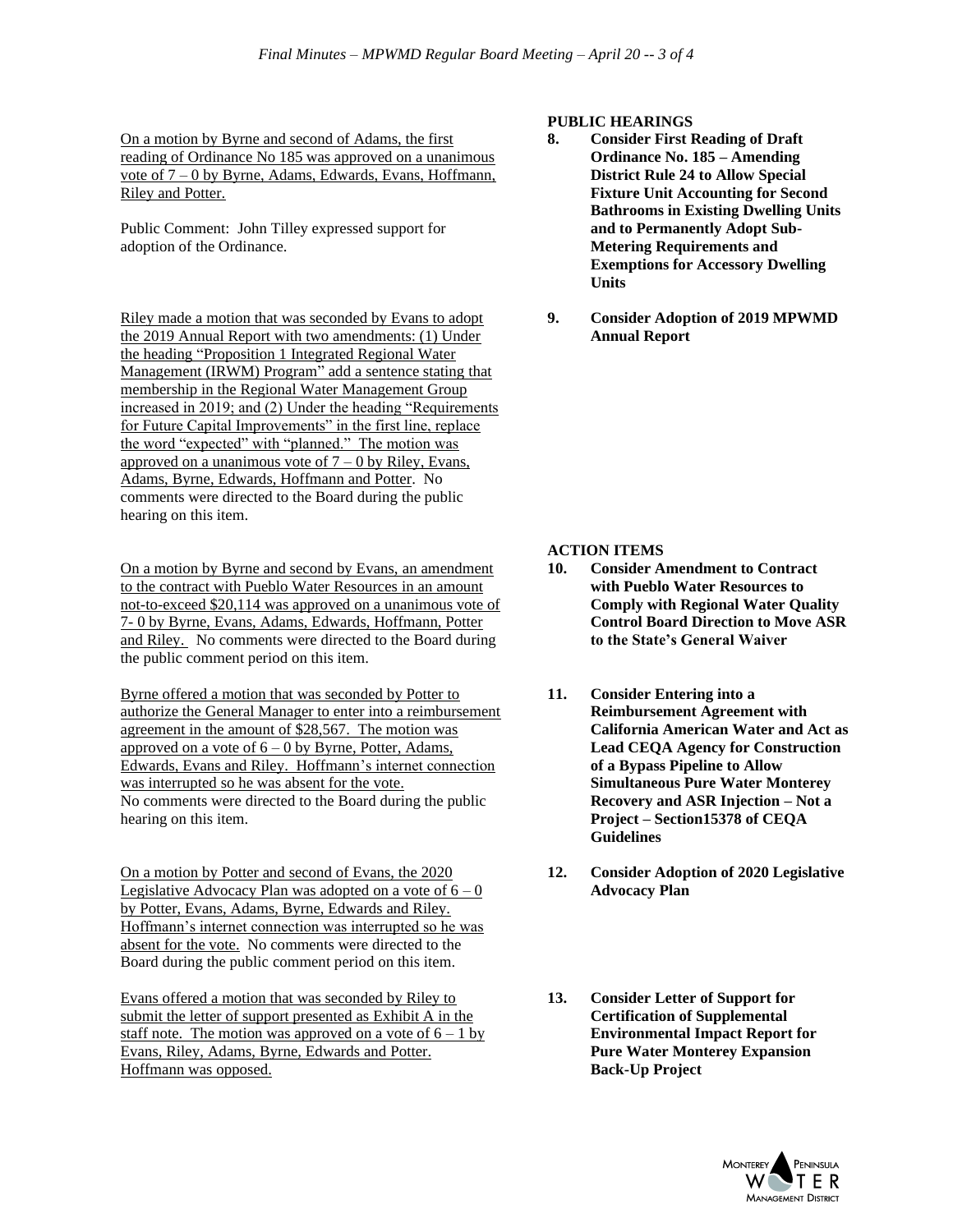On a motion by Byrne and second of Adams, the first reading of Ordinance No 185 was approved on a unanimous vote of 7 – 0 by Byrne, Adams, Edwards, Evans, Hoffmann, Riley and Potter.

Public Comment: John Tilley expressed support for adoption of the Ordinance.

Riley made a motion that was seconded by Evans to adopt the 2019 Annual Report with two amendments: (1) Under the heading "Proposition 1 Integrated Regional Water Management (IRWM) Program" add a sentence stating that membership in the Regional Water Management Group increased in 2019; and (2) Under the heading "Requirements for Future Capital Improvements" in the first line, replace the word "expected" with "planned." The motion was approved on a unanimous vote of  $7 - 0$  by Riley, Evans, Adams, Byrne, Edwards, Hoffmann and Potter. No comments were directed to the Board during the public hearing on this item.

On a motion by Byrne and second by Evans, an amendment to the contract with Pueblo Water Resources in an amount not-to-exceed \$20,114 was approved on a unanimous vote of 7- 0 by Byrne, Evans, Adams, Edwards, Hoffmann, Potter and Riley. No comments were directed to the Board during the public comment period on this item.

Byrne offered a motion that was seconded by Potter to authorize the General Manager to enter into a reimbursement agreement in the amount of \$28,567. The motion was approved on a vote of  $6 - 0$  by Byrne, Potter, Adams, Edwards, Evans and Riley. Hoffmann's internet connection was interrupted so he was absent for the vote. No comments were directed to the Board during the public hearing on this item.

On a motion by Potter and second of Evans, the 2020 Legislative Advocacy Plan was adopted on a vote of  $6 - 0$ by Potter, Evans, Adams, Byrne, Edwards and Riley. Hoffmann's internet connection was interrupted so he was absent for the vote. No comments were directed to the Board during the public comment period on this item.

Evans offered a motion that was seconded by Riley to submit the letter of support presented as Exhibit A in the staff note. The motion was approved on a vote of  $6 - 1$  by Evans, Riley, Adams, Byrne, Edwards and Potter. Hoffmann was opposed.

# **PUBLIC HEARINGS**

- **8. Consider First Reading of Draft Ordinance No. 185 – Amending District Rule 24 to Allow Special Fixture Unit Accounting for Second Bathrooms in Existing Dwelling Units and to Permanently Adopt Sub-Metering Requirements and Exemptions for Accessory Dwelling Units**
- **9. Consider Adoption of 2019 MPWMD Annual Report**

# **ACTION ITEMS**

- **10. Consider Amendment to Contract with Pueblo Water Resources to Comply with Regional Water Quality Control Board Direction to Move ASR to the State's General Waiver**
- **11. Consider Entering into a Reimbursement Agreement with California American Water and Act as Lead CEQA Agency for Construction of a Bypass Pipeline to Allow Simultaneous Pure Water Monterey Recovery and ASR Injection – Not a Project – Section15378 of CEQA Guidelines**
- **12. Consider Adoption of 2020 Legislative Advocacy Plan**
- **13. Consider Letter of Support for Certification of Supplemental Environmental Impact Report for Pure Water Monterey Expansion Back-Up Project**